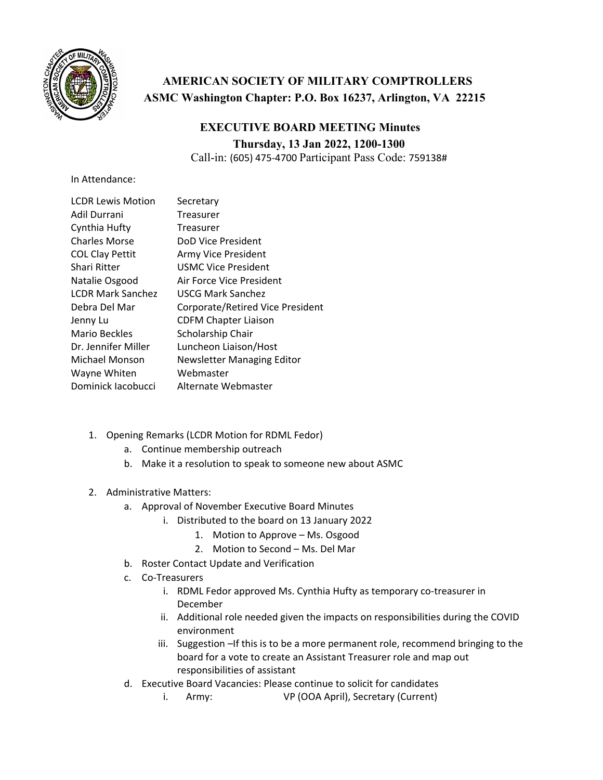

## **AMERICAN SOCIETY OF MILITARY COMPTROLLERS ASMC Washington Chapter: P.O. Box 16237, Arlington, VA 22215**

## **EXECUTIVE BOARD MEETING Minutes Thursday, 13 Jan 2022, 1200-1300**

Call-in: (605) 475‐4700 Participant Pass Code: 759138#

In Attendance:

| <b>LCDR Lewis Motion</b> | Secretary                        |
|--------------------------|----------------------------------|
| Adil Durrani             | Treasurer                        |
| Cynthia Hufty            | Treasurer                        |
| <b>Charles Morse</b>     | DoD Vice President               |
| <b>COL Clay Pettit</b>   | Army Vice President              |
| Shari Ritter             | <b>USMC Vice President</b>       |
| Natalie Osgood           | Air Force Vice President         |
| <b>LCDR Mark Sanchez</b> | USCG Mark Sanchez                |
| Debra Del Mar            | Corporate/Retired Vice President |
| Jenny Lu                 | <b>CDFM Chapter Liaison</b>      |
| Mario Beckles            | Scholarship Chair                |
| Dr. Jennifer Miller      | Luncheon Liaison/Host            |
| Michael Monson           | Newsletter Managing Editor       |
| Wayne Whiten             | Webmaster                        |
| Dominick Jacobucci       | Alternate Webmaster              |
|                          |                                  |

- 1. Opening Remarks (LCDR Motion for RDML Fedor)
	- a. Continue membership outreach
	- b. Make it a resolution to speak to someone new about ASMC
- 2. Administrative Matters:
	- a. Approval of November Executive Board Minutes
		- i. Distributed to the board on 13 January 2022
			- 1. Motion to Approve Ms. Osgood
			- 2. Motion to Second Ms. Del Mar
	- b. Roster Contact Update and Verification
	- c. Co‐Treasurers
		- i. RDML Fedor approved Ms. Cynthia Hufty as temporary co-treasurer in December
		- ii. Additional role needed given the impacts on responsibilities during the COVID environment
		- iii. Suggestion –If this is to be a more permanent role, recommend bringing to the board for a vote to create an Assistant Treasurer role and map out responsibilities of assistant
	- d. Executive Board Vacancies: Please continue to solicit for candidates
		- i. Army: VP (OOA April), Secretary (Current)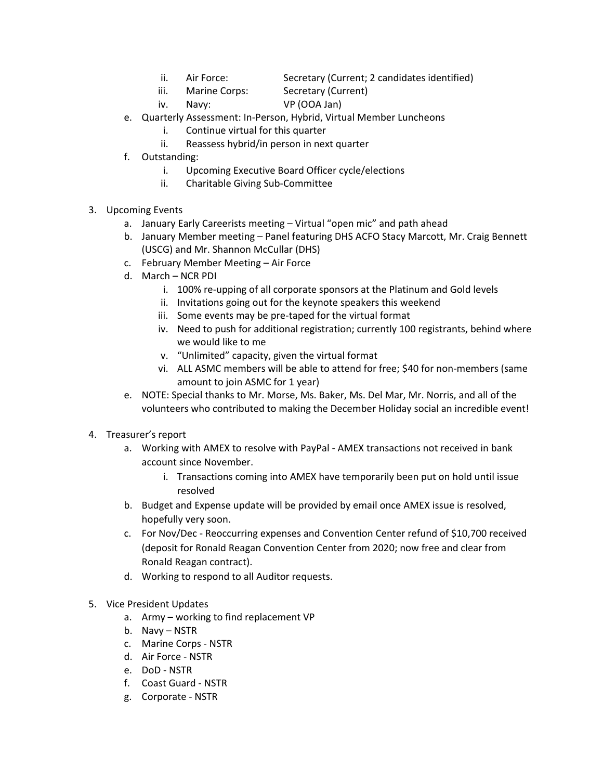- ii. Air Force: Secretary (Current; 2 candidates identified)
- iii. Marine Corps: Secretary (Current)
- iv. Navy: VP (OOA Jan)
- e. Quarterly Assessment: In‐Person, Hybrid, Virtual Member Luncheons
	- i. Continue virtual for this quarter
	- ii. Reassess hybrid/in person in next quarter
- f. Outstanding:
	- i. Upcoming Executive Board Officer cycle/elections
	- ii. Charitable Giving Sub‐Committee
- 3. Upcoming Events
	- a. January Early Careerists meeting Virtual "open mic" and path ahead
	- b. January Member meeting Panel featuring DHS ACFO Stacy Marcott, Mr. Craig Bennett (USCG) and Mr. Shannon McCullar (DHS)
	- c. February Member Meeting Air Force
	- d. March NCR PDI
		- i. 100% re-upping of all corporate sponsors at the Platinum and Gold levels
		- ii. Invitations going out for the keynote speakers this weekend
		- iii. Some events may be pre-taped for the virtual format
		- iv. Need to push for additional registration; currently 100 registrants, behind where we would like to me
		- v. "Unlimited" capacity, given the virtual format
		- vi. ALL ASMC members will be able to attend for free; \$40 for non‐members (same amount to join ASMC for 1 year)
	- e. NOTE: Special thanks to Mr. Morse, Ms. Baker, Ms. Del Mar, Mr. Norris, and all of the volunteers who contributed to making the December Holiday social an incredible event!
- 4. Treasurer's report
	- a. Working with AMEX to resolve with PayPal ‐ AMEX transactions not received in bank account since November.
		- i. Transactions coming into AMEX have temporarily been put on hold until issue resolved
	- b. Budget and Expense update will be provided by email once AMEX issue is resolved, hopefully very soon.
	- c. For Nov/Dec ‐ Reoccurring expenses and Convention Center refund of \$10,700 received (deposit for Ronald Reagan Convention Center from 2020; now free and clear from Ronald Reagan contract).
	- d. Working to respond to all Auditor requests.
- 5. Vice President Updates
	- a. Army working to find replacement VP
	- b. Navy NSTR
	- c. Marine Corps ‐ NSTR
	- d. Air Force ‐ NSTR
	- e. DoD ‐ NSTR
	- f. Coast Guard ‐ NSTR
	- g. Corporate ‐ NSTR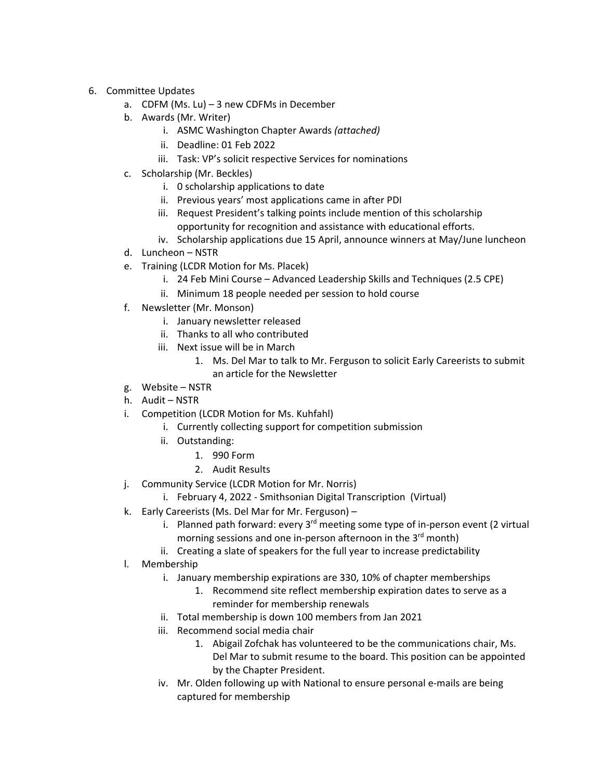- 6. Committee Updates
	- a. CDFM (Ms. Lu) 3 new CDFMs in December
	- b. Awards (Mr. Writer)
		- i. ASMC Washington Chapter Awards *(attached)*
		- ii. Deadline: 01 Feb 2022
		- iii. Task: VP's solicit respective Services for nominations
	- c. Scholarship (Mr. Beckles)
		- i. 0 scholarship applications to date
		- ii. Previous years' most applications came in after PDI
		- iii. Request President's talking points include mention of this scholarship opportunity for recognition and assistance with educational efforts.
		- iv. Scholarship applications due 15 April, announce winners at May/June luncheon
	- d. Luncheon NSTR
	- e. Training (LCDR Motion for Ms. Placek)
		- i. 24 Feb Mini Course Advanced Leadership Skills and Techniques (2.5 CPE)
		- ii. Minimum 18 people needed per session to hold course
	- f. Newsletter (Mr. Monson)
		- i. January newsletter released
		- ii. Thanks to all who contributed
		- iii. Next issue will be in March
			- 1. Ms. Del Mar to talk to Mr. Ferguson to solicit Early Careerists to submit an article for the Newsletter
	- g. Website NSTR
	- h. Audit NSTR
	- i. Competition (LCDR Motion for Ms. Kuhfahl)
		- i. Currently collecting support for competition submission
		- ii. Outstanding:
			- 1. 990 Form
			- 2. Audit Results
	- j. Community Service (LCDR Motion for Mr. Norris)
		- i. February 4, 2022 ‐ Smithsonian Digital Transcription (Virtual)
	- k. Early Careerists (Ms. Del Mar for Mr. Ferguson)
		- i. Planned path forward: every  $3<sup>rd</sup>$  meeting some type of in-person event (2 virtual morning sessions and one in-person afternoon in the 3<sup>rd</sup> month)
		- ii. Creating a slate of speakers for the full year to increase predictability
	- l. Membership
		- i. January membership expirations are 330, 10% of chapter memberships
			- 1. Recommend site reflect membership expiration dates to serve as a reminder for membership renewals
		- ii. Total membership is down 100 members from Jan 2021
		- iii. Recommend social media chair
			- 1. Abigail Zofchak has volunteered to be the communications chair, Ms. Del Mar to submit resume to the board. This position can be appointed by the Chapter President.
		- iv. Mr. Olden following up with National to ensure personal e-mails are being captured for membership